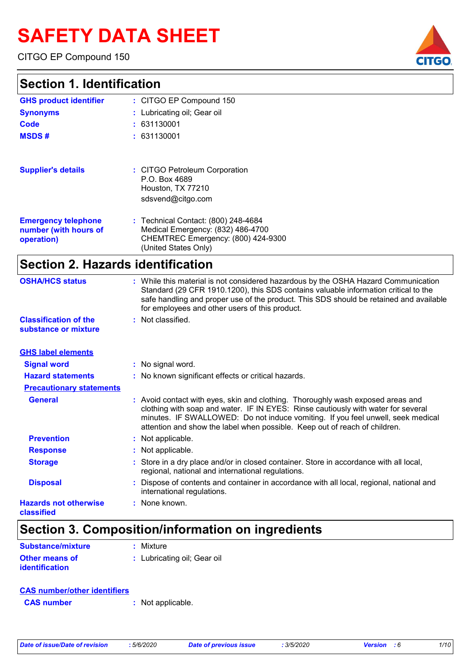# **SAFETY DATA SHEET**

CITGO EP Compound 150

| <b>Section 1. Identification</b>                                  |                                                                                                                                        |
|-------------------------------------------------------------------|----------------------------------------------------------------------------------------------------------------------------------------|
| <b>GHS product identifier</b>                                     | : CITGO EP Compound 150                                                                                                                |
| <b>Synonyms</b>                                                   | : Lubricating oil; Gear oil                                                                                                            |
| Code                                                              | : 631130001                                                                                                                            |
| <b>MSDS#</b>                                                      | : 631130001                                                                                                                            |
| <b>Supplier's details</b>                                         | : CITGO Petroleum Corporation<br>P.O. Box 4689<br>Houston, TX 77210<br>sdsvend@citgo.com                                               |
| <b>Emergency telephone</b><br>number (with hours of<br>operation) | : Technical Contact: (800) 248-4684<br>Medical Emergency: (832) 486-4700<br>CHEMTREC Emergency: (800) 424-9300<br>(United States Only) |

### **Section 2. Hazards identification**

| <b>OSHA/HCS status</b><br>: While this material is not considered hazardous by the OSHA Hazard Communication<br>Standard (29 CFR 1910.1200), this SDS contains valuable information critical to the<br>safe handling and proper use of the product. This SDS should be retained and available<br>for employees and other users of this product.         |  |
|---------------------------------------------------------------------------------------------------------------------------------------------------------------------------------------------------------------------------------------------------------------------------------------------------------------------------------------------------------|--|
| : Not classified.<br><b>Classification of the</b><br>substance or mixture                                                                                                                                                                                                                                                                               |  |
| <b>GHS label elements</b>                                                                                                                                                                                                                                                                                                                               |  |
| <b>Signal word</b><br>: No signal word.                                                                                                                                                                                                                                                                                                                 |  |
| <b>Hazard statements</b><br>: No known significant effects or critical hazards.                                                                                                                                                                                                                                                                         |  |
| <b>Precautionary statements</b>                                                                                                                                                                                                                                                                                                                         |  |
| <b>General</b><br>: Avoid contact with eyes, skin and clothing. Thoroughly wash exposed areas and<br>clothing with soap and water. IF IN EYES: Rinse cautiously with water for several<br>minutes. IF SWALLOWED: Do not induce vomiting. If you feel unwell, seek medical<br>attention and show the label when possible. Keep out of reach of children. |  |
| <b>Prevention</b><br>: Not applicable.                                                                                                                                                                                                                                                                                                                  |  |
| : Not applicable.<br><b>Response</b>                                                                                                                                                                                                                                                                                                                    |  |
| Store in a dry place and/or in closed container. Store in accordance with all local,<br><b>Storage</b><br>regional, national and international regulations.                                                                                                                                                                                             |  |
| <b>Disposal</b><br>Dispose of contents and container in accordance with all local, regional, national and<br>international regulations.                                                                                                                                                                                                                 |  |
| : None known.<br><b>Hazards not otherwise</b><br>classified                                                                                                                                                                                                                                                                                             |  |

### **Section 3. Composition/information on ingredients**

| <b>Substance/mixture</b> | : Mixture                   |
|--------------------------|-----------------------------|
| <b>Other means of</b>    | : Lubricating oil; Gear oil |
| <b>identification</b>    |                             |

| <b>CAS number/other identifiers</b> |  |                   |
|-------------------------------------|--|-------------------|
| <b>CAS</b> number                   |  | : Not applicable. |

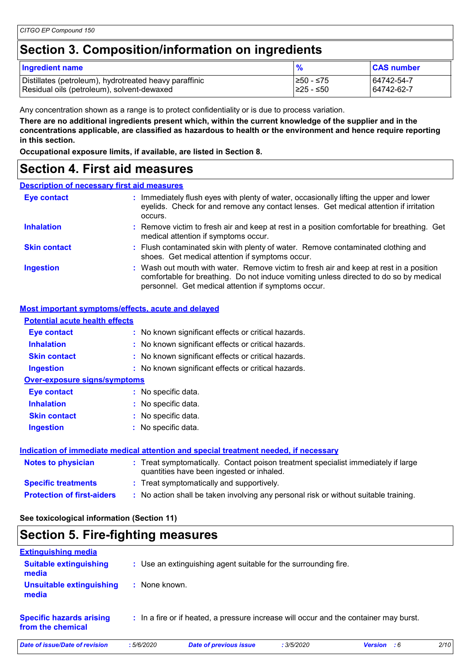### **Section 3. Composition/information on ingredients**

| <b>Ingredient name</b>                                 | %          | <b>CAS number</b> |
|--------------------------------------------------------|------------|-------------------|
| Distillates (petroleum), hydrotreated heavy paraffinic | 1≥50 - ≤75 | 64742-54-7        |
| Residual oils (petroleum), solvent-dewaxed             | I≥25 - ≤50 | 64742-62-7        |

Any concentration shown as a range is to protect confidentiality or is due to process variation.

**There are no additional ingredients present which, within the current knowledge of the supplier and in the concentrations applicable, are classified as hazardous to health or the environment and hence require reporting in this section.**

**Occupational exposure limits, if available, are listed in Section 8.**

### **Section 4. First aid measures**

#### **Description of necessary first aid measures**

| <b>Eye contact</b>  | : Immediately flush eyes with plenty of water, occasionally lifting the upper and lower<br>eyelids. Check for and remove any contact lenses. Get medical attention if irritation                                                       |  |
|---------------------|----------------------------------------------------------------------------------------------------------------------------------------------------------------------------------------------------------------------------------------|--|
| <b>Inhalation</b>   | : Remove victim to fresh air and keep at rest in a position comfortable for breathing. Get<br>medical attention if symptoms occur.                                                                                                     |  |
| <b>Skin contact</b> | : Flush contaminated skin with plenty of water. Remove contaminated clothing and<br>shoes. Get medical attention if symptoms occur.                                                                                                    |  |
| <b>Ingestion</b>    | : Wash out mouth with water. Remove victim to fresh air and keep at rest in a position<br>comfortable for breathing. Do not induce vomiting unless directed to do so by medical<br>personnel. Get medical attention if symptoms occur. |  |

#### **Most important symptoms/effects, acute and delayed**

| <b>Potential acute health effects</b> |                                                                                                                                |
|---------------------------------------|--------------------------------------------------------------------------------------------------------------------------------|
| Eye contact                           | : No known significant effects or critical hazards.                                                                            |
| <b>Inhalation</b>                     | : No known significant effects or critical hazards.                                                                            |
| <b>Skin contact</b>                   | : No known significant effects or critical hazards.                                                                            |
| <b>Ingestion</b>                      | : No known significant effects or critical hazards.                                                                            |
| <b>Over-exposure signs/symptoms</b>   |                                                                                                                                |
| Eye contact                           | : No specific data.                                                                                                            |
| <b>Inhalation</b>                     | : No specific data.                                                                                                            |
| <b>Skin contact</b>                   | : No specific data.                                                                                                            |
| <b>Ingestion</b>                      | No specific data.                                                                                                              |
|                                       | Indication of immediate medical attention and special treatment needed, if necessary                                           |
| <b>Notes to physician</b>             | : Treat symptomatically. Contact poison treatment specialist immediately if large<br>quantities have been ingested or inhaled. |
| <b>Specific treatments</b>            | : Treat symptomatically and supportively.                                                                                      |

**Protection of first-aiders :** No action shall be taken involving any personal risk or without suitable training.

### **See toxicological information (Section 11)**

### **Section 5. Fire-fighting measures**

| <b>Extinguishing media</b>                           |               |                                                                                       |            |                    |      |
|------------------------------------------------------|---------------|---------------------------------------------------------------------------------------|------------|--------------------|------|
| <b>Suitable extinguishing</b><br>media               |               | : Use an extinguishing agent suitable for the surrounding fire.                       |            |                    |      |
| Unsuitable extinguishing<br>media                    | : None known. |                                                                                       |            |                    |      |
| <b>Specific hazards arising</b><br>from the chemical |               | : In a fire or if heated, a pressure increase will occur and the container may burst. |            |                    |      |
| Date of issue/Date of revision                       | :5/6/2020     | <b>Date of previous issue</b>                                                         | : 3/5/2020 | <b>Version</b> : 6 | 2/10 |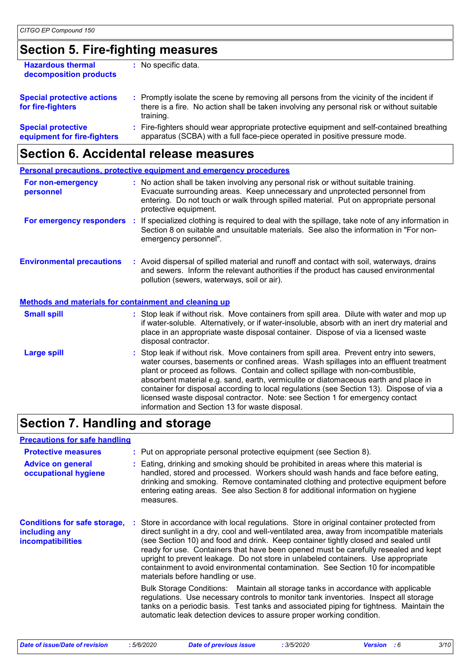### **Section 5. Fire-fighting measures**

| <b>Hazardous thermal</b><br>decomposition products       | No specific data.                                                                                                                                                                                   |
|----------------------------------------------------------|-----------------------------------------------------------------------------------------------------------------------------------------------------------------------------------------------------|
| <b>Special protective actions</b><br>for fire-fighters   | : Promptly isolate the scene by removing all persons from the vicinity of the incident if<br>there is a fire. No action shall be taken involving any personal risk or without suitable<br>training. |
| <b>Special protective</b><br>equipment for fire-fighters | : Fire-fighters should wear appropriate protective equipment and self-contained breathing<br>apparatus (SCBA) with a full face-piece operated in positive pressure mode.                            |
|                                                          |                                                                                                                                                                                                     |

### **Section 6. Accidental release measures**

|                                                              | <b>Personal precautions, protective equipment and emergency procedures</b>                                                                                                                                                                                                                                                                                                                                                                                                                                                                                                                 |
|--------------------------------------------------------------|--------------------------------------------------------------------------------------------------------------------------------------------------------------------------------------------------------------------------------------------------------------------------------------------------------------------------------------------------------------------------------------------------------------------------------------------------------------------------------------------------------------------------------------------------------------------------------------------|
| For non-emergency<br>personnel                               | : No action shall be taken involving any personal risk or without suitable training.<br>Evacuate surrounding areas. Keep unnecessary and unprotected personnel from<br>entering. Do not touch or walk through spilled material. Put on appropriate personal<br>protective equipment.                                                                                                                                                                                                                                                                                                       |
| For emergency responders                                     | : If specialized clothing is required to deal with the spillage, take note of any information in<br>Section 8 on suitable and unsuitable materials. See also the information in "For non-<br>emergency personnel".                                                                                                                                                                                                                                                                                                                                                                         |
| <b>Environmental precautions</b>                             | : Avoid dispersal of spilled material and runoff and contact with soil, waterways, drains<br>and sewers. Inform the relevant authorities if the product has caused environmental<br>pollution (sewers, waterways, soil or air).                                                                                                                                                                                                                                                                                                                                                            |
| <b>Methods and materials for containment and cleaning up</b> |                                                                                                                                                                                                                                                                                                                                                                                                                                                                                                                                                                                            |
| <b>Small spill</b>                                           | : Stop leak if without risk. Move containers from spill area. Dilute with water and mop up<br>if water-soluble. Alternatively, or if water-insoluble, absorb with an inert dry material and<br>place in an appropriate waste disposal container. Dispose of via a licensed waste<br>disposal contractor.                                                                                                                                                                                                                                                                                   |
| <b>Large spill</b>                                           | : Stop leak if without risk. Move containers from spill area. Prevent entry into sewers,<br>water courses, basements or confined areas. Wash spillages into an effluent treatment<br>plant or proceed as follows. Contain and collect spillage with non-combustible,<br>absorbent material e.g. sand, earth, vermiculite or diatomaceous earth and place in<br>container for disposal according to local regulations (see Section 13). Dispose of via a<br>licensed waste disposal contractor. Note: see Section 1 for emergency contact<br>information and Section 13 for waste disposal. |

### **Section 7. Handling and storage**

#### **Precautions for safe handling**

| <b>Protective measures</b><br><b>Advice on general</b><br>occupational hygiene   | : Put on appropriate personal protective equipment (see Section 8).<br>Eating, drinking and smoking should be prohibited in areas where this material is<br>handled, stored and processed. Workers should wash hands and face before eating,<br>drinking and smoking. Remove contaminated clothing and protective equipment before<br>entering eating areas. See also Section 8 for additional information on hygiene<br>measures.                                                                                                                                                                                                                                                                                                                                                                                                                                                                                               |
|----------------------------------------------------------------------------------|----------------------------------------------------------------------------------------------------------------------------------------------------------------------------------------------------------------------------------------------------------------------------------------------------------------------------------------------------------------------------------------------------------------------------------------------------------------------------------------------------------------------------------------------------------------------------------------------------------------------------------------------------------------------------------------------------------------------------------------------------------------------------------------------------------------------------------------------------------------------------------------------------------------------------------|
| <b>Conditions for safe storage,</b><br>including any<br><b>incompatibilities</b> | Store in accordance with local regulations. Store in original container protected from<br>direct sunlight in a dry, cool and well-ventilated area, away from incompatible materials<br>(see Section 10) and food and drink. Keep container tightly closed and sealed until<br>ready for use. Containers that have been opened must be carefully resealed and kept<br>upright to prevent leakage. Do not store in unlabeled containers. Use appropriate<br>containment to avoid environmental contamination. See Section 10 for incompatible<br>materials before handling or use.<br>Bulk Storage Conditions: Maintain all storage tanks in accordance with applicable<br>regulations. Use necessary controls to monitor tank inventories. Inspect all storage<br>tanks on a periodic basis. Test tanks and associated piping for tightness. Maintain the<br>automatic leak detection devices to assure proper working condition. |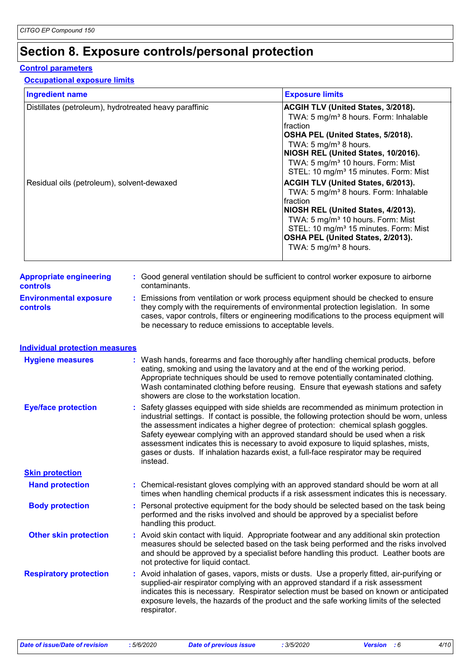### **Section 8. Exposure controls/personal protection**

#### **Control parameters**

#### **Occupational exposure limits**

| <b>Ingredient name</b>                                                                               |  |                                                                                                                                                                                                                                                                                                                                                                                                                                                                                                                                                   | <b>Exposure limits</b>                                                                                                                                                                                                                                                                                                                                                                                                                                                                                                                                                                                                                                  |  |
|------------------------------------------------------------------------------------------------------|--|---------------------------------------------------------------------------------------------------------------------------------------------------------------------------------------------------------------------------------------------------------------------------------------------------------------------------------------------------------------------------------------------------------------------------------------------------------------------------------------------------------------------------------------------------|---------------------------------------------------------------------------------------------------------------------------------------------------------------------------------------------------------------------------------------------------------------------------------------------------------------------------------------------------------------------------------------------------------------------------------------------------------------------------------------------------------------------------------------------------------------------------------------------------------------------------------------------------------|--|
| Distillates (petroleum), hydrotreated heavy paraffinic<br>Residual oils (petroleum), solvent-dewaxed |  |                                                                                                                                                                                                                                                                                                                                                                                                                                                                                                                                                   | ACGIH TLV (United States, 3/2018).<br>TWA: 5 mg/m <sup>3</sup> 8 hours. Form: Inhalable<br>fraction<br>OSHA PEL (United States, 5/2018).<br>TWA: 5 mg/m <sup>3</sup> 8 hours.<br>NIOSH REL (United States, 10/2016).<br>TWA: 5 mg/m <sup>3</sup> 10 hours. Form: Mist<br>STEL: 10 mg/m <sup>3</sup> 15 minutes. Form: Mist<br>ACGIH TLV (United States, 6/2013).<br>TWA: 5 mg/m <sup>3</sup> 8 hours. Form: Inhalable<br>fraction<br>NIOSH REL (United States, 4/2013).<br>TWA: 5 mg/m <sup>3</sup> 10 hours. Form: Mist<br>STEL: 10 mg/m <sup>3</sup> 15 minutes. Form: Mist<br>OSHA PEL (United States, 2/2013).<br>TWA: 5 mg/m <sup>3</sup> 8 hours. |  |
| <b>Appropriate engineering</b><br><b>controls</b>                                                    |  | contaminants.                                                                                                                                                                                                                                                                                                                                                                                                                                                                                                                                     | : Good general ventilation should be sufficient to control worker exposure to airborne                                                                                                                                                                                                                                                                                                                                                                                                                                                                                                                                                                  |  |
| <b>Environmental exposure</b><br><b>controls</b>                                                     |  | : Emissions from ventilation or work process equipment should be checked to ensure<br>they comply with the requirements of environmental protection legislation. In some<br>cases, vapor controls, filters or engineering modifications to the process equipment will<br>be necessary to reduce emissions to acceptable levels.                                                                                                                                                                                                                   |                                                                                                                                                                                                                                                                                                                                                                                                                                                                                                                                                                                                                                                         |  |
| <b>Individual protection measures</b>                                                                |  |                                                                                                                                                                                                                                                                                                                                                                                                                                                                                                                                                   |                                                                                                                                                                                                                                                                                                                                                                                                                                                                                                                                                                                                                                                         |  |
| <b>Hygiene measures</b>                                                                              |  | : Wash hands, forearms and face thoroughly after handling chemical products, before<br>eating, smoking and using the lavatory and at the end of the working period.<br>Appropriate techniques should be used to remove potentially contaminated clothing.<br>Wash contaminated clothing before reusing. Ensure that eyewash stations and safety<br>showers are close to the workstation location.                                                                                                                                                 |                                                                                                                                                                                                                                                                                                                                                                                                                                                                                                                                                                                                                                                         |  |
| <b>Eye/face protection</b>                                                                           |  | Safety glasses equipped with side shields are recommended as minimum protection in<br>industrial settings. If contact is possible, the following protection should be worn, unless<br>the assessment indicates a higher degree of protection: chemical splash goggles.<br>Safety eyewear complying with an approved standard should be used when a risk<br>assessment indicates this is necessary to avoid exposure to liquid splashes, mists,<br>gases or dusts. If inhalation hazards exist, a full-face respirator may be required<br>instead. |                                                                                                                                                                                                                                                                                                                                                                                                                                                                                                                                                                                                                                                         |  |
| <b>Skin protection</b>                                                                               |  |                                                                                                                                                                                                                                                                                                                                                                                                                                                                                                                                                   |                                                                                                                                                                                                                                                                                                                                                                                                                                                                                                                                                                                                                                                         |  |
| <b>Hand protection</b>                                                                               |  | : Chemical-resistant gloves complying with an approved standard should be worn at all<br>times when handling chemical products if a risk assessment indicates this is necessary.                                                                                                                                                                                                                                                                                                                                                                  |                                                                                                                                                                                                                                                                                                                                                                                                                                                                                                                                                                                                                                                         |  |
| <b>Body protection</b>                                                                               |  | : Personal protective equipment for the body should be selected based on the task being<br>performed and the risks involved and should be approved by a specialist before<br>handling this product.                                                                                                                                                                                                                                                                                                                                               |                                                                                                                                                                                                                                                                                                                                                                                                                                                                                                                                                                                                                                                         |  |
| <b>Other skin protection</b>                                                                         |  | : Avoid skin contact with liquid. Appropriate footwear and any additional skin protection<br>measures should be selected based on the task being performed and the risks involved<br>and should be approved by a specialist before handling this product. Leather boots are<br>not protective for liquid contact.                                                                                                                                                                                                                                 |                                                                                                                                                                                                                                                                                                                                                                                                                                                                                                                                                                                                                                                         |  |
| <b>Respiratory protection</b>                                                                        |  | : Avoid inhalation of gases, vapors, mists or dusts. Use a properly fitted, air-purifying or<br>supplied-air respirator complying with an approved standard if a risk assessment<br>indicates this is necessary. Respirator selection must be based on known or anticipated<br>exposure levels, the hazards of the product and the safe working limits of the selected<br>respirator.                                                                                                                                                             |                                                                                                                                                                                                                                                                                                                                                                                                                                                                                                                                                                                                                                                         |  |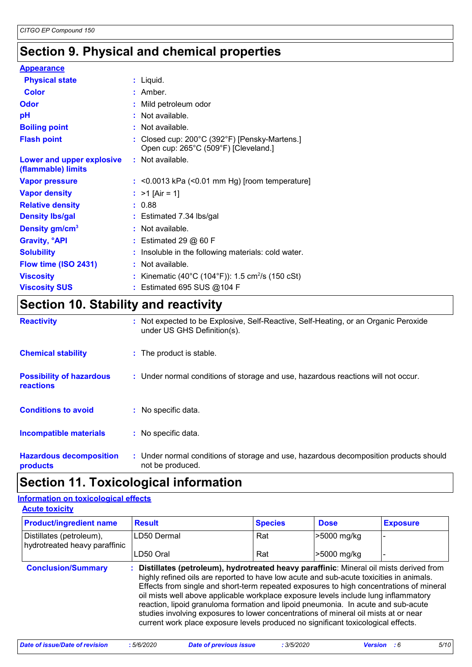### **Section 9. Physical and chemical properties**

| <b>Appearance</b>                               |                                                                                                                                                                                                                                                                                                                                                                                      |  |
|-------------------------------------------------|--------------------------------------------------------------------------------------------------------------------------------------------------------------------------------------------------------------------------------------------------------------------------------------------------------------------------------------------------------------------------------------|--|
| <b>Physical state</b>                           | : Liquid.                                                                                                                                                                                                                                                                                                                                                                            |  |
| <b>Color</b>                                    | $:$ Amber.                                                                                                                                                                                                                                                                                                                                                                           |  |
| <b>Odor</b>                                     | : Mild petroleum odor                                                                                                                                                                                                                                                                                                                                                                |  |
| pH                                              | : Not available.                                                                                                                                                                                                                                                                                                                                                                     |  |
| <b>Boiling point</b>                            | : Not available.                                                                                                                                                                                                                                                                                                                                                                     |  |
| <b>Flash point</b>                              | : Closed cup: $200^{\circ}$ C (392 $^{\circ}$ F) [Pensky-Martens.]<br>Open cup: 265°C (509°F) [Cleveland.]                                                                                                                                                                                                                                                                           |  |
| Lower and upper explosive<br>(flammable) limits | : Not available.                                                                                                                                                                                                                                                                                                                                                                     |  |
| <b>Vapor pressure</b>                           | $:$ <0.0013 kPa (<0.01 mm Hg) [room temperature]                                                                                                                                                                                                                                                                                                                                     |  |
| <b>Vapor density</b>                            | : $>1$ [Air = 1]                                                                                                                                                                                                                                                                                                                                                                     |  |
| <b>Relative density</b>                         | : 0.88                                                                                                                                                                                                                                                                                                                                                                               |  |
| <b>Density Ibs/gal</b>                          | $:$ Estimated 7.34 lbs/gal                                                                                                                                                                                                                                                                                                                                                           |  |
| Density gm/cm <sup>3</sup>                      | : Not available.                                                                                                                                                                                                                                                                                                                                                                     |  |
| <b>Gravity, <sup>o</sup>API</b>                 | $:$ Estimated 29 $@$ 60 F                                                                                                                                                                                                                                                                                                                                                            |  |
| <b>Solubility</b>                               | : Insoluble in the following materials: cold water.                                                                                                                                                                                                                                                                                                                                  |  |
| Flow time (ISO 2431)                            | : Not available.                                                                                                                                                                                                                                                                                                                                                                     |  |
| <b>Viscosity</b>                                | : Kinematic (40°C (104°F)): 1.5 cm <sup>2</sup> /s (150 cSt)                                                                                                                                                                                                                                                                                                                         |  |
| <b>Viscosity SUS</b>                            | : Estimated 695 SUS @104 F                                                                                                                                                                                                                                                                                                                                                           |  |
| $\sim$ $\sim$                                   | $\overline{a}$ $\overline{a}$ $\overline{a}$ $\overline{a}$ $\overline{a}$ $\overline{a}$ $\overline{a}$ $\overline{a}$ $\overline{a}$ $\overline{a}$ $\overline{a}$ $\overline{a}$ $\overline{a}$ $\overline{a}$ $\overline{a}$ $\overline{a}$ $\overline{a}$ $\overline{a}$ $\overline{a}$ $\overline{a}$ $\overline{a}$ $\overline{a}$ $\overline{a}$ $\overline{a}$ $\overline{$ |  |

### **Section 10. Stability and reactivity**

| <b>Reactivity</b>                                   | : Not expected to be Explosive, Self-Reactive, Self-Heating, or an Organic Peroxide<br>under US GHS Definition(s). |
|-----------------------------------------------------|--------------------------------------------------------------------------------------------------------------------|
| <b>Chemical stability</b>                           | : The product is stable.                                                                                           |
| <b>Possibility of hazardous</b><br><b>reactions</b> | : Under normal conditions of storage and use, hazardous reactions will not occur.                                  |
| <b>Conditions to avoid</b>                          | : No specific data.                                                                                                |
| <b>Incompatible materials</b>                       | : No specific data.                                                                                                |
| <b>Hazardous decomposition</b><br>products          | : Under normal conditions of storage and use, hazardous decomposition products should<br>not be produced.          |

### **Section 11. Toxicological information**

#### **Acute toxicity Information on toxicological effects**

| <b>Product/ingredient name</b>                            | <b>Result</b>                                                                                                                                                                                                                                                                                                                                                                                                                                                                                                                                                                                                                          | <b>Species</b> | <b>Dose</b> | <b>Exposure</b> |  |
|-----------------------------------------------------------|----------------------------------------------------------------------------------------------------------------------------------------------------------------------------------------------------------------------------------------------------------------------------------------------------------------------------------------------------------------------------------------------------------------------------------------------------------------------------------------------------------------------------------------------------------------------------------------------------------------------------------------|----------------|-------------|-----------------|--|
| Distillates (petroleum),<br>hydrotreated heavy paraffinic | LD50 Dermal                                                                                                                                                                                                                                                                                                                                                                                                                                                                                                                                                                                                                            | Rat            | >5000 mg/kg |                 |  |
|                                                           | LD50 Oral                                                                                                                                                                                                                                                                                                                                                                                                                                                                                                                                                                                                                              | Rat            | -5000 mg/kg |                 |  |
| <b>Conclusion/Summary</b>                                 | : Distillates (petroleum), hydrotreated heavy paraffinic: Mineral oil mists derived from<br>highly refined oils are reported to have low acute and sub-acute toxicities in animals.<br>Effects from single and short-term repeated exposures to high concentrations of mineral<br>oil mists well above applicable workplace exposure levels include lung inflammatory<br>reaction, lipoid granuloma formation and lipoid pneumonia. In acute and sub-acute<br>studies involving exposures to lower concentrations of mineral oil mists at or near<br>current work place exposure levels produced no significant toxicological effects. |                |             |                 |  |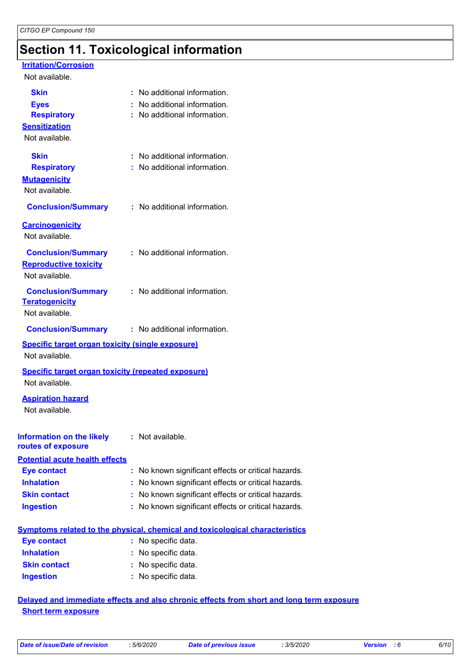### **Section 11. Toxicological information**

#### **Irritation/Corrosion**

#### Not available.

| <b>Skin</b><br><b>Eyes</b><br><b>Respiratory</b><br><b>Sensitization</b><br>Not available. | : No additional information.<br>: No additional information.<br>: No additional information. |
|--------------------------------------------------------------------------------------------|----------------------------------------------------------------------------------------------|
| <b>Skin</b><br><b>Respiratory</b><br><b>Mutagenicity</b><br>Not available.                 | : No additional information.<br>: No additional information.                                 |
| <b>Conclusion/Summary</b>                                                                  | : No additional information.                                                                 |
| <b>Carcinogenicity</b><br>Not available.                                                   |                                                                                              |
| <b>Conclusion/Summary</b><br><b>Reproductive toxicity</b><br>Not available.                | : No additional information.                                                                 |
| <b>Conclusion/Summary</b><br><b>Teratogenicity</b><br>Not available.                       | : No additional information.                                                                 |
| <b>Conclusion/Summary</b>                                                                  | : No additional information.                                                                 |
| <b>Specific target organ toxicity (single exposure)</b><br>Not available.                  |                                                                                              |
| <b>Specific target organ toxicity (repeated exposure)</b><br>Not available.                |                                                                                              |
| <b>Aspiration hazard</b><br>Not available.                                                 |                                                                                              |
| <b>Information on the likely : Not available.</b><br>routes of exposure                    |                                                                                              |
| <b>Potential acute health effects</b>                                                      |                                                                                              |
| <b>Eye contact</b>                                                                         | : No known significant effects or critical hazards.                                          |
| <b>Inhalation</b>                                                                          | No known significant effects or critical hazards.                                            |
| <b>Skin contact</b>                                                                        | No known significant effects or critical hazards.                                            |
| <b>Ingestion</b>                                                                           | : No known significant effects or critical hazards.                                          |
|                                                                                            | <b>Symptoms related to the physical, chemical and toxicological characteristics</b>          |
| <b>Eye contact</b>                                                                         | : No specific data.                                                                          |
| <b>Inhalation</b>                                                                          | No specific data.                                                                            |
| <b>Skin contact</b>                                                                        | No specific data.                                                                            |
| <b>Ingestion</b>                                                                           | No specific data.                                                                            |

#### **Delayed and immediate effects and also chronic effects from short and long term exposure Short term exposure**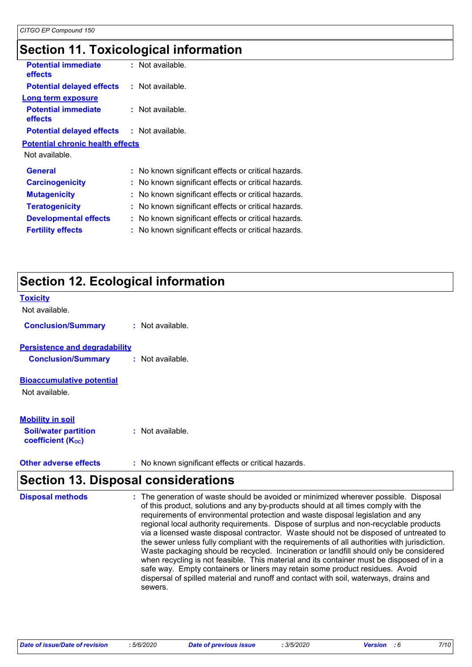### **Section 11. Toxicological information**

| <b>Potential immediate</b><br><b>effects</b>      | : Not available.                                    |
|---------------------------------------------------|-----------------------------------------------------|
| <b>Potential delayed effects</b>                  | $:$ Not available.                                  |
| Long term exposure                                |                                                     |
| <b>Potential immediate</b><br><b>effects</b>      | : Not available.                                    |
| <b>Potential delayed effects : Not available.</b> |                                                     |
| <b>Potential chronic health effects</b>           |                                                     |
| Not available.                                    |                                                     |
| <b>General</b>                                    | : No known significant effects or critical hazards. |
| <b>Carcinogenicity</b>                            | : No known significant effects or critical hazards. |
| <b>Mutagenicity</b>                               | : No known significant effects or critical hazards. |
| <b>Teratogenicity</b>                             | : No known significant effects or critical hazards. |
| <b>Developmental effects</b>                      | No known significant effects or critical hazards.   |
| <b>Fertility effects</b>                          | No known significant effects or critical hazards.   |
|                                                   |                                                     |

## **Section 12. Ecological information**

| <b>Toxicity</b><br>Not available.                                                  |                  |
|------------------------------------------------------------------------------------|------------------|
| <b>Conclusion/Summary</b>                                                          | : Not available. |
| <b>Persistence and degradability</b><br><b>Conclusion/Summary</b>                  | : Not available. |
| <b>Bioaccumulative potential</b><br>Not available.                                 |                  |
| <b>Mobility in soil</b><br><b>Soil/water partition</b><br><b>coefficient (Koc)</b> | : Not available. |

**Other adverse effects** : No known significant effects or critical hazards.

### **Section 13. Disposal considerations**

| <b>Disposal methods</b> | : The generation of waste should be avoided or minimized wherever possible. Disposal<br>of this product, solutions and any by-products should at all times comply with the<br>requirements of environmental protection and waste disposal legislation and any<br>regional local authority requirements. Dispose of surplus and non-recyclable products<br>via a licensed waste disposal contractor. Waste should not be disposed of untreated to<br>the sewer unless fully compliant with the requirements of all authorities with jurisdiction.<br>Waste packaging should be recycled. Incineration or landfill should only be considered<br>when recycling is not feasible. This material and its container must be disposed of in a<br>safe way. Empty containers or liners may retain some product residues. Avoid<br>dispersal of spilled material and runoff and contact with soil, waterways, drains and |
|-------------------------|-----------------------------------------------------------------------------------------------------------------------------------------------------------------------------------------------------------------------------------------------------------------------------------------------------------------------------------------------------------------------------------------------------------------------------------------------------------------------------------------------------------------------------------------------------------------------------------------------------------------------------------------------------------------------------------------------------------------------------------------------------------------------------------------------------------------------------------------------------------------------------------------------------------------|
|                         | sewers.                                                                                                                                                                                                                                                                                                                                                                                                                                                                                                                                                                                                                                                                                                                                                                                                                                                                                                         |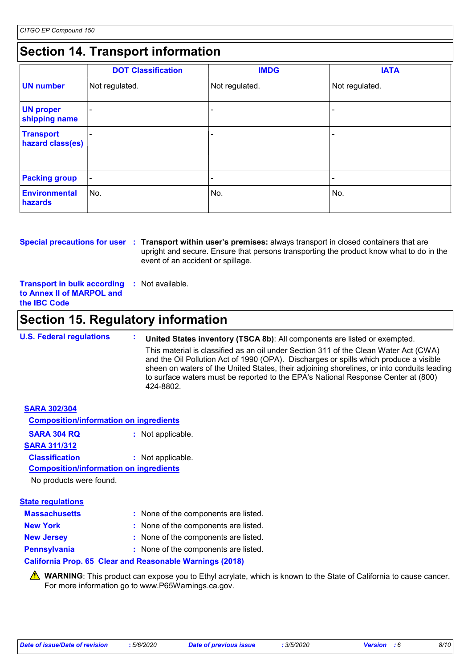### **Section 14. Transport information**

|                                      | <b>DOT Classification</b> | <b>IMDG</b>              | <b>IATA</b>    |
|--------------------------------------|---------------------------|--------------------------|----------------|
| <b>UN number</b>                     | Not regulated.            | Not regulated.           | Not regulated. |
| <b>UN proper</b><br>shipping name    |                           |                          |                |
| <b>Transport</b><br>hazard class(es) |                           |                          |                |
| <b>Packing group</b>                 | $\overline{\phantom{a}}$  | $\overline{\phantom{0}}$ | -              |
| Environmental<br>hazards             | No.                       | No.                      | No.            |

**Special precautions for user** : Transport within user's premises: always transport in closed containers that are upright and secure. Ensure that persons transporting the product know what to do in the event of an accident or spillage.

**Transport in bulk according to Annex II of MARPOL and the IBC Code :** Not available.

### **Section 15. Regulatory information**

**U.S. Federal regulations : United States inventory (TSCA 8b)**: All components are listed or exempted. This material is classified as an oil under Section 311 of the Clean Water Act (CWA) and the Oil Pollution Act of 1990 (OPA). Discharges or spills which produce a visible sheen on waters of the United States, their adjoining shorelines, or into conduits leading to surface waters must be reported to the EPA's National Response Center at (800) 424-8802.

| <b>SARA 302/304</b>                           |                   |
|-----------------------------------------------|-------------------|
| <b>Composition/information on ingredients</b> |                   |
| <b>SARA 304 RQ</b>                            | : Not applicable. |
| <b>SARA 311/312</b>                           |                   |
| <b>Classification</b>                         | : Not applicable. |
| <b>Composition/information on ingredients</b> |                   |
| No products were found.                       |                   |
| Stato roquistione                             |                   |

| <u>ulalu Tuhini mahalis</u> |                                      |
|-----------------------------|--------------------------------------|
| <b>Massachusetts</b>        | : None of the components are listed. |
| <b>New York</b>             | : None of the components are listed. |
| <b>New Jersey</b>           | : None of the components are listed. |
| <b>Pennsylvania</b>         | : None of the components are listed. |
|                             |                                      |

#### **California Prop. 65 Clear and Reasonable Warnings (2018)**

WARNING: This product can expose you to Ethyl acrylate, which is known to the State of California to cause cancer. For more information go to www.P65Warnings.ca.gov.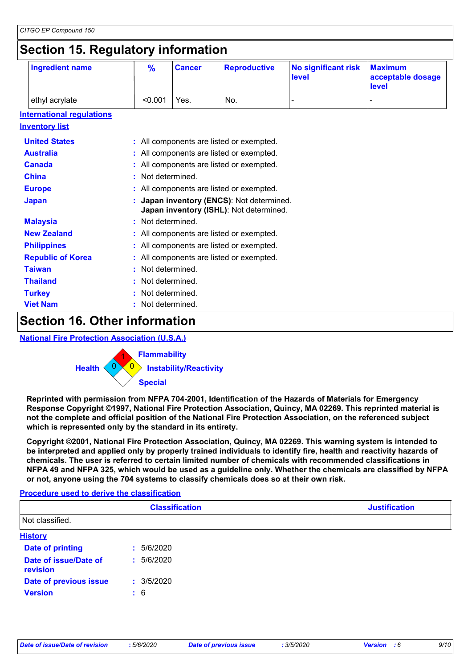### **Section 15. Regulatory information**

| <b>Ingredient name</b>           | $\frac{9}{6}$ | <b>Cancer</b>                            | <b>Reproductive</b>                                                                | <b>No significant risk</b><br>level | <b>Maximum</b><br>acceptable dosage<br>level |  |
|----------------------------------|---------------|------------------------------------------|------------------------------------------------------------------------------------|-------------------------------------|----------------------------------------------|--|
| ethyl acrylate                   | < 0.001       | Yes.                                     | No.                                                                                |                                     |                                              |  |
| <b>International requlations</b> |               |                                          |                                                                                    |                                     |                                              |  |
| <b>Inventory list</b>            |               |                                          |                                                                                    |                                     |                                              |  |
| <b>United States</b>             |               |                                          | : All components are listed or exempted.                                           |                                     |                                              |  |
| <b>Australia</b>                 |               |                                          | : All components are listed or exempted.                                           |                                     |                                              |  |
| <b>Canada</b>                    |               |                                          | : All components are listed or exempted.                                           |                                     |                                              |  |
| <b>China</b>                     |               | Not determined.                          |                                                                                    |                                     |                                              |  |
| <b>Europe</b>                    |               | All components are listed or exempted.   |                                                                                    |                                     |                                              |  |
| <b>Japan</b>                     |               |                                          | Japan inventory (ENCS): Not determined.<br>Japan inventory (ISHL): Not determined. |                                     |                                              |  |
| <b>Malaysia</b>                  |               | Not determined.                          |                                                                                    |                                     |                                              |  |
| <b>New Zealand</b>               |               | : All components are listed or exempted. |                                                                                    |                                     |                                              |  |
| <b>Philippines</b>               |               | All components are listed or exempted.   |                                                                                    |                                     |                                              |  |
| <b>Republic of Korea</b>         |               | : All components are listed or exempted. |                                                                                    |                                     |                                              |  |
| <b>Taiwan</b>                    |               | Not determined.                          |                                                                                    |                                     |                                              |  |
| <b>Thailand</b>                  |               | Not determined.                          |                                                                                    |                                     |                                              |  |
| <b>Turkey</b>                    |               | Not determined.                          |                                                                                    |                                     |                                              |  |
| <b>Viet Nam</b>                  |               | Not determined.                          |                                                                                    |                                     |                                              |  |

### **Section 16. Other information**

#### **National Fire Protection Association (U.S.A.)**



**Reprinted with permission from NFPA 704-2001, Identification of the Hazards of Materials for Emergency Response Copyright ©1997, National Fire Protection Association, Quincy, MA 02269. This reprinted material is not the complete and official position of the National Fire Protection Association, on the referenced subject which is represented only by the standard in its entirety.**

**Copyright ©2001, National Fire Protection Association, Quincy, MA 02269. This warning system is intended to be interpreted and applied only by properly trained individuals to identify fire, health and reactivity hazards of chemicals. The user is referred to certain limited number of chemicals with recommended classifications in NFPA 49 and NFPA 325, which would be used as a guideline only. Whether the chemicals are classified by NFPA or not, anyone using the 704 systems to classify chemicals does so at their own risk.**

#### **Procedure used to derive the classification**

|                                   | <b>Classification</b> | <b>Justification</b> |  |  |
|-----------------------------------|-----------------------|----------------------|--|--|
| Not classified.                   |                       |                      |  |  |
| <b>History</b>                    |                       |                      |  |  |
| <b>Date of printing</b>           | 5/6/2020<br>÷.        |                      |  |  |
| Date of issue/Date of<br>revision | 5/6/2020<br>÷.        |                      |  |  |
| Date of previous issue            | : 3/5/2020            |                      |  |  |
| <b>Version</b>                    | $\div$ 6              |                      |  |  |